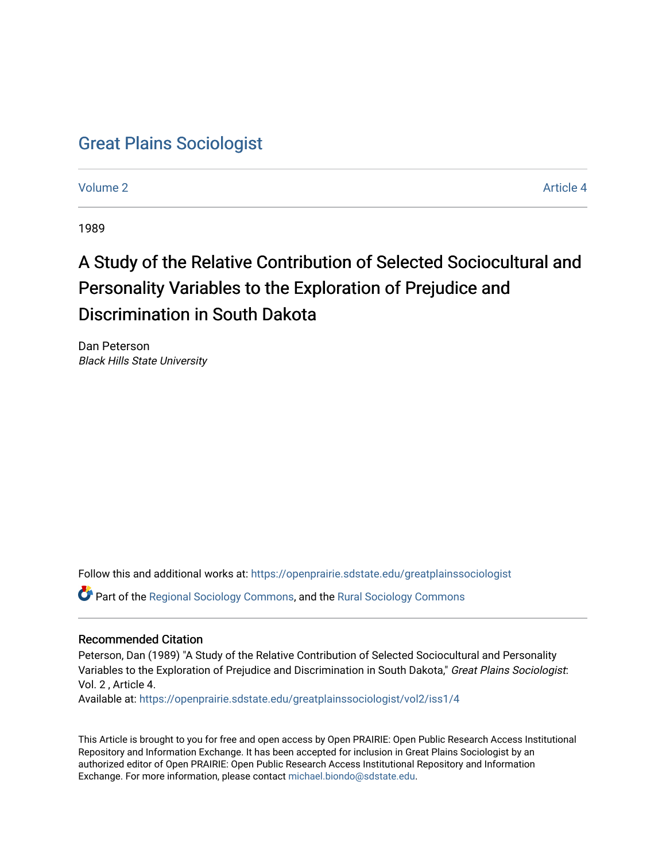# [Great Plains Sociologist](https://openprairie.sdstate.edu/greatplainssociologist)

[Volume 2](https://openprairie.sdstate.edu/greatplainssociologist/vol2) Article 4

1989

# A Study of the Relative Contribution of Selected Sociocultural and Personality Variables to the Exploration of Prejudice and Discrimination in South Dakota

Dan Peterson Black Hills State University

Follow this and additional works at: [https://openprairie.sdstate.edu/greatplainssociologist](https://openprairie.sdstate.edu/greatplainssociologist?utm_source=openprairie.sdstate.edu%2Fgreatplainssociologist%2Fvol2%2Fiss1%2F4&utm_medium=PDF&utm_campaign=PDFCoverPages) 

Part of the [Regional Sociology Commons](http://network.bepress.com/hgg/discipline/427?utm_source=openprairie.sdstate.edu%2Fgreatplainssociologist%2Fvol2%2Fiss1%2F4&utm_medium=PDF&utm_campaign=PDFCoverPages), and the [Rural Sociology Commons](http://network.bepress.com/hgg/discipline/428?utm_source=openprairie.sdstate.edu%2Fgreatplainssociologist%2Fvol2%2Fiss1%2F4&utm_medium=PDF&utm_campaign=PDFCoverPages) 

#### Recommended Citation

Peterson, Dan (1989) "A Study of the Relative Contribution of Selected Sociocultural and Personality Variables to the Exploration of Prejudice and Discrimination in South Dakota," Great Plains Sociologist: Vol. 2 , Article 4.

Available at: [https://openprairie.sdstate.edu/greatplainssociologist/vol2/iss1/4](https://openprairie.sdstate.edu/greatplainssociologist/vol2/iss1/4?utm_source=openprairie.sdstate.edu%2Fgreatplainssociologist%2Fvol2%2Fiss1%2F4&utm_medium=PDF&utm_campaign=PDFCoverPages) 

This Article is brought to you for free and open access by Open PRAIRIE: Open Public Research Access Institutional Repository and Information Exchange. It has been accepted for inclusion in Great Plains Sociologist by an authorized editor of Open PRAIRIE: Open Public Research Access Institutional Repository and Information Exchange. For more information, please contact [michael.biondo@sdstate.edu.](mailto:michael.biondo@sdstate.edu)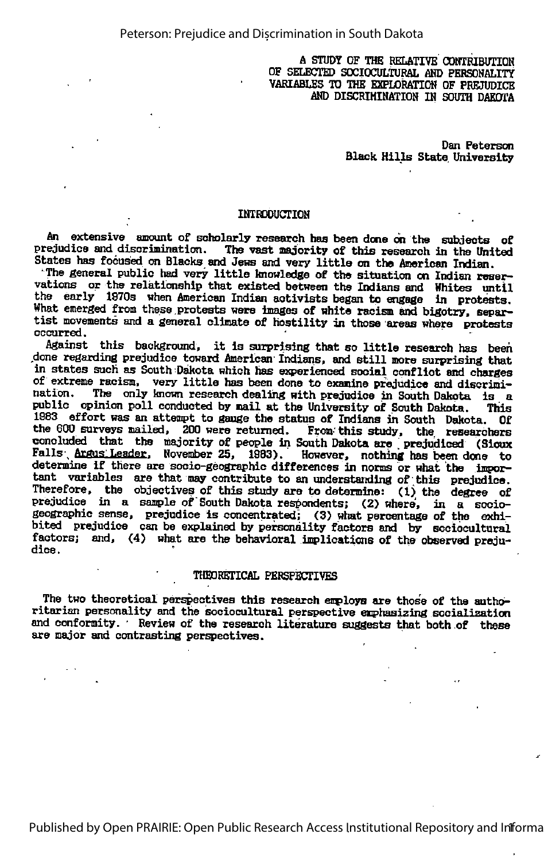#### A STUDY OF THE RELATIVE CONTRIBUTION OF SELECTED SOCIOCULTURAL AND PERSOHALITy VARIABLES TO THE EXPLORATION OF PREJUDICE AND DISCRIMINATION IN SOUTH DAKOTA

Dan Peterson Black Hills State University

#### INTRODUCTION

An extensive amamt of scholarly research has been done on the subjects of prejudice and discrimination. The vast majority of this research in the United States has focused on Blacks and Jews and very little on the American Indian.

The general public had very little knowledge of the situation on Indian reservations or the relationship that existed between the Indians and Whites until the early 1970s when American Indian activists began to engage in protests. Htet emerged from these protests were images of white racism end bigotry, separ- tist movements and a general climate of hostility in those areas where protests occurred.

Against this background, it is surprising that so little research has been done regarding prejudice toward American Indians, and still more surprising that in states such as South Dakota which has experienced social conflict and charges of extreme racism, very little has been done to examine prejudice and discrimi-<br>nation. The only known research dealing with prejudice in South Dekate, is a The only known research dealing with prejudice in South Dakota is a public opinion poll conducted by mail at the University of South Dakota. This 1983 effort was an attempt to gauge the status of Indians in South Dakota. Of the 800 surveys mailed, 200 were returned. From-this study, the researchers concluded that the majority of people in South Dakota are prejudiced (Sioux Falls Argus Leader. November 25, 1983). However, nothing has been done to determine if there are socio-geographic differences in norms or what the impor tant variables are that may contribute to an understanding of this prejudice. Therefore, the objectives of this study are to determine:  $(1)$  the degree of prejudice in a sample of South Dakota respondents; (2) where, in a sociogeographie sense, prejudice is concentrated; (3) what percentage of the exhi bited prejudice can be explained by personality factors and by sociocultural factors; and, (4) what are the behavioral implications of the observed preju dice .

#### THEORETICAL PERSPECTIVES

The two theoretical perspectives this research employs are those of the authoritarian personality and the sociocultural perspective emphasizing socialization and conformity. Review of the research literature suggests that both of these are major and contrasting perspectives.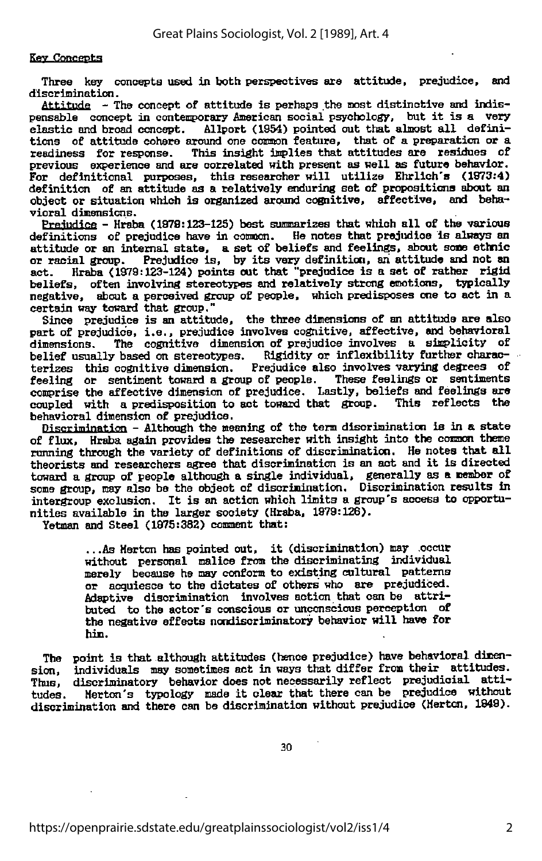#### Key Concepts

Three key concepts used in both perspectives are attitude, prejudice, and discrimination.

Attitude - The concept of attitude is perhaps the most distinctive and indispensable concept in contemporary American social psychology, but it is a very elastic and broad concept. Allport (1954) pointed out that almost all defini-Allport (1954) pointed out that almost all definitions of attitude cohere around one common feature, that of <sup>a</sup> preparation or <sup>a</sup> readiness for response. This insight implies that attitudes are residues of previous experience and are correlated with present as well as future behavior. For definitional purposes, this researcher will utilize Ehrllch's (1979:4) definition of an attitude as a relatively enduring set of propositions abcut an object or situation which is organized around cognitive, affective, and beha vioral dimensions.

Prejudice - Hraba (1979:123-125) best summarizes that which all of the various definitions of prejudice have in common. He notes that prejudice is always an attitude or an internal state, a set of beliefs and feelings, about some ethnic or racial group. Prejudice is, by its very definition, an attitude and not an act. Hraba (1979:123-124) points out that "prejudice is a set of Hraba (1979:123-124) points out that "prejudice is a set of rather rigid beliefs, often involving stereotypes and relatively strong emotions, typically negative, about a perceived group of people, which predisposes one to act in a certain way toward that group."

Since prejudice is an attitude, the three dimensions of an attitude are also part of prejudice, i.e., prejudice involves cognitive, affective, and behavioral dimensions. The cognitive dimension of prejudice involves a simplicity of The cognitive dimension of prejudice involves a simplicity of belief usually based on stereotypes. Rigidity or inflexibility further characterizes this cognitive dimension. Prejudice also involves varying degrees of feeling or sentiment toward a group of people. These feelings or sentiments comprise the affective dimension of prejudice. Lastly, beliefs and feelings are<br>coupled with a predisposition to act toward that group. This reflects the coupled with a predisposition to act toward that group. behavioral dimension of prejudice.

Discrimination - Although the meaning of the term discrimination is in a state of flux, Hraba again provides the researcher with insight into the common theme running through the variety of definitions of discrimination. He notes that all theorists and researchers agree that discrimination is an act and it is directed toward a group of people although a single individual, generally as a member of some group, may also be the object of discrimination. Discrimination results in intergroup exclusion. It is an action which limits <sup>a</sup> group's access to opportu nities available in the larger society (Hraba, 1979:126).

Yetman and Steel (1975:382) comment that:

.. .As Merton has pointed cut, it (discrimination) may occur without personal malice from the discriminating individual merely because he may conform to existing cultural patterns or acquiesce to the dictates of others who are prejudiced. Adaptive discrimination involves action that can be attri buted to the actor's conscious or unconscious perception of the negative effects ncndisoriminatory behavior will have for hin.

The point is that although attitudes (hence prejudice) have behavioral dimension, individuals may sometimes act in ways that differ from their attitudes. sion, individuals may sometimes act in ways that differ from their attitudes.<br>Thus, discriminatory behavior does not necessarily reflect prejudicial attidiscriminatory behavior does not necessarily reflect prejudicial attitudes. Merton's typology made it clear that there can be prejudice without discrimination and there can be discrimination without prejudice (Merton, 1849).

30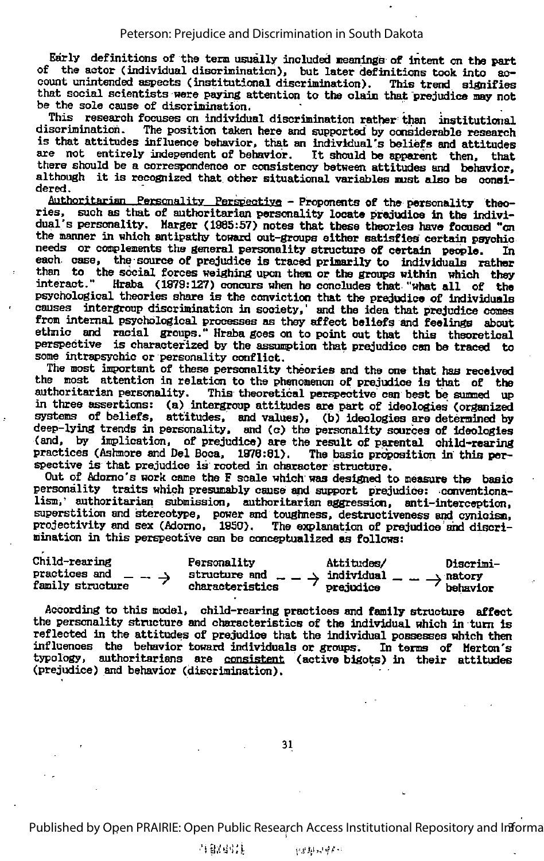Early definitions of the tern usually included neanirgs of intent on the part of the actor (individual discrimination), but later definitions took into account unintended aspects (institutional discrimination). This trend signifies that social scientists were paying attention to the claim that prejudice may not be the sole cause of discrimination.

This research focuses on individual discrimination rather than institutional discrimination. The position taken here and supported by considerable research The position taken here and supported by considerable research is that attitudes influence behavior, that an individual's beliefs and attitudes are not entirely independent of behavior. It should bo apparmt then, that there should be a correspondence or consistency between attitudes and behavior, although it is recognized that other situational variables must also be considered.

Authoritarian Personality Perspective - Proponents of the personality theories, such as that of authoritarian personality locate prejudice in the individual's personality. Marger (1985:57) notes that these theories have focused "on the manner in which antipathy toward out-groups either satisfies certain psychic needs or complements the general personality structure of certain people. In each case, the source of prejudice is traced primarily to individuals rather than to the social forces weighing upon then or the groups within which they interact." Hraba (1979:127) concurs when he concludes that "what all of the psychological theories share is the conviction that the prejudice of Individuals causes intergroup discrimination in society,' and the idea that prejudice comes from internal psychological processes as they affect beliefs and feelings about ethnic and racial groups." Hraba goes on to point out that this theoretical perspective is characterized by the assumption that prejudice can be traced to some intrapsychic or personality conflict. some intrapsychic or personality conflict.<br>The most important of these personality theories and the one that has received

the most attention in relation to the phenomenon of prejudice is that of the authoritarian personality. This theoretical perspective can best be summed up This theoretical perspective can best be summed up in three assertions: (a) intergroup attitudes are part of ideologies (organized systems of beliefs, attitudes, and values), (b) ideologies are determined by deep-lying trends in personality, and (c) the personality sources of ideologies (and, by implication, of prejudice) are the result of parental child-rearing practices (Ashmore and Del Boca, 1976:81). The basic proposition in this perpractices (Ashmore and Del Boca, 1978:81). spective is that prejudice is rooted in character structure.

Out of Adorno's work came the F scale which was designed to measure the basic personality traits which presumably cause and support prejudioe: conventimalism,' authoritarian submission, authoritarian aggression, anti-interception, superstition and stereotype, power and toughness, destruotiveness and cynicism, projectivity and sex (Adomo, 1950). The explanation of prejudice' and discri mination in this perspective can be conceptualized as follows:

| Child-rearing    | Personality     | Attitudes/ | Discrimi- |
|------------------|-----------------|------------|-----------|
| practices and    | structure and   | individual | natory    |
| family structure | characteristics | prejudice  | behavior  |

According to this model, child-rearing practices and family structure affect the personality structure and characteristics of the individual which in turn is reflected in the attitudes of prejudice that the individual possesses which then influences the behavior toward individuals or groups. In terms of Mertcn's typology, authoritarians are consistent (active bigots) in their attitudes (prejudice) and behavior (discrimination).

Published by Open PRAIRIE: Open Public Research Access Institutional Repository and Informa

当智弱其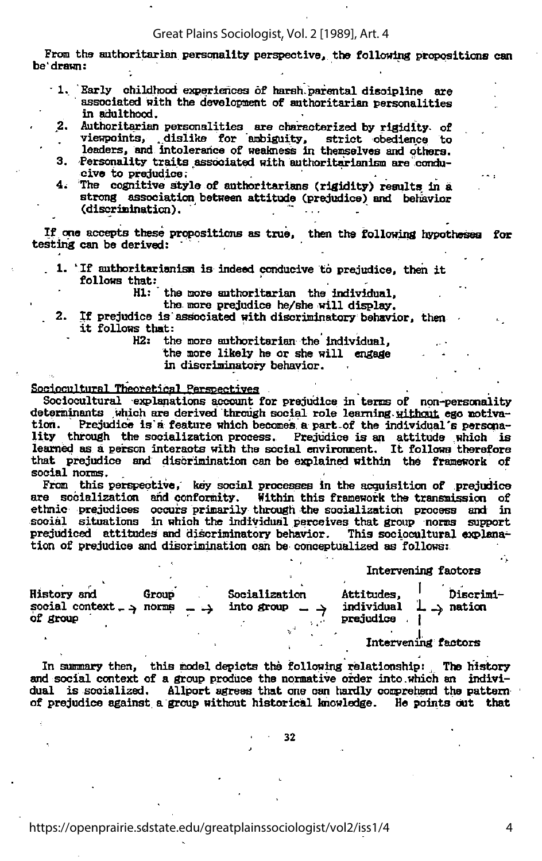#### Great Plains Sociologist, Vol. 2 [1989], Art. 4

From the authoritarian personality perspective, the following propositions can be drawn:

- 1. Early childhood experiences of harsh, parental discipline are associated with the development of authoritarian personalities in adulthood.
- 2. Authoritarian personalities are characterized by rigidity- of viewpoint, ,dislike for ambiguity, strict obedience to
- leaders, and intolerance of weakness in themselves and others. 3. Personality traits associated with authoritarianism are condu
	- cive to prejudice;
- 4. The cognitive style of authoritarians (rigidity) results in a strong association between attitude (prejudice) and behavior (discrimination).

If one accepts these propositions as true, then the following hypotheses for testing can be derived:

- 1. 'If authoritarianism is indeed conducive to prejudice, then it follows that:
	- HI: the more authoritarian the individual,

the more prejudice he/she will display.

. 2. If prejudice is associated with discriminatory behavior, then it follows that:

H2: the more authoritarian the individual,

the more likely he or she will engage

in discriminatory behavior.

#### Sociocultural Theoretical Perspectives

Sociocultural explanations account for prejudice in terms of non-personality determinants which are derived through social role learning. without ego notivation. Prejudice is'a feature which becomes <sup>a</sup> part.of the individual's perscnality through the socialization process. Prejudice is an attitude which is learned as a person interacts with the social environment. It follows therefore that prejudice and discrimination can be explained within the framework of social norms.

From this perspective, key social processes in the acquisition of prejudice are socialization and conformity. Within this framework the transmission of ethnic prejudices occurs primarily through the socialization process and in social situations in which the individual perceives that group norms support prejudiced attitudes and discriminatory behavior. This sociocultural explanation of prejudice and discrimination can be conceptualized as follows:

Intervening factors

| History and<br>social context $\rightarrow$ norms $\rightarrow$<br>of group | Group | Socialization<br>into group $\rightarrow$ | Attitudes.<br>individual $\perp$ $\rightarrow$ nation<br>prejudice | Discrimi-           |
|-----------------------------------------------------------------------------|-------|-------------------------------------------|--------------------------------------------------------------------|---------------------|
|                                                                             |       |                                           |                                                                    | Intervening factors |

In summary then, this model depicts the following relationship: The history and social context of a group produce the normative order into which an individual is socialized. Allport agrees that one can hardly comprehend the pattern of prejudice against, <sup>a</sup> group without historical knowledge. He points out that

32

4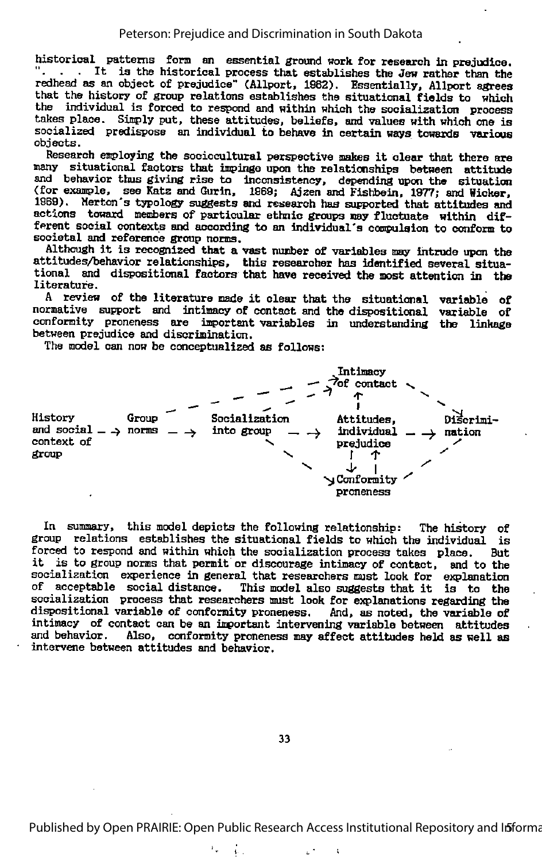historical patterns form an essential ground work for research in prejudice. . . It is the historical process that establishes the Jew rather than the redhead as an object of prejudice" (Allport, 1962). Essentially, Allport agrees that the history of group relations establishes the situational fields to which the individual is forced to respond and within which the socialization process takes place. Simply put, these attitudes, beliefs, and values with which one is socialized predispose an individual to behave in certain ways towards various

objects.<br>Research exploying the sociocultural perspective makes it clear that there are Research employing the sociocultural perspective makes it clear that there are many situational factors that impinge upon the relationships between attitude and behavior thus giving rise to inconsistency, depending upon the situation (for example, see Katz and Qurin, 1969; Ajzen and Fishbein, 1977; and Wicker, 1969). Merton's typology suggests and research has supported that attitudes and actions toward members of particular ethnic groups nay fluctuate within different social contexts and according to an individual's compulsion to conform to societal and reference group norms.

Although it is recognized that <sup>a</sup> vast number of variables may intrude upon the attitudes/behavior relationships, this researcher has identified several situa tional and dispositicnal factors that have received the most attention in the literature.

<sup>A</sup> review of the literature made it clear that the situational variable of normative support and intimacy of contact and the dispositicnal variable of conformity proneness are important variables in understanding the linkage between prejudice and discrimination.

The model can now be conceptualized as follows:



In summary, this model depicts the following relationship: The history of group relations establishes the situational fields to which the individual is forced to respond and within which the socialization process takes place. But it is to group norms that permit or discourage intimacy of contact, and to the socialization experience in general that researchers must look for explanation of acceptable social distance. This model also suggests that it is to the socialization process that researchers must look for explanations regarding the dispositional variable of conformity proneness. And, as noted, the variable of intimacy of contact can be an important intervening variable between attitudes and behavior. Also, conformity propeness may affect attitudes beld as well as Also, conformity proneness may affect attitudes held as well as intervene between attitudes and behavior.

33

 $\hat{\mathbf{r}}$ 

ţ.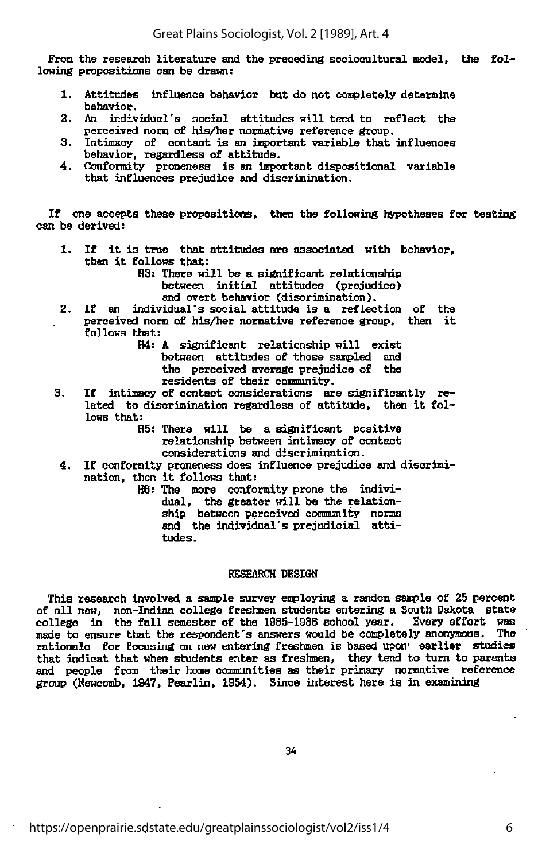From the research literature and the preceding sociocultural model, the following propositions can be drawn:

- 1. Attitudes influence behavior but do not completely determine behavior.
- 2. An individual's social attitudes will tend to reflect the perceived norm of his/her normative reference group.
- 3. Intimacy of contact is an important variable that influences behavior, regardless of attitude.
- 4. Conformity proneness is an important dispositional variable that influences prejudice and discrimination.

If one accepts these propositions, then the following hypotheses for testing can be derived:

- 1. If it is true that attitudes are associated with behavior, then it follows that:
	- H3: There will be a significant relationship between initial attitudes (prejudice)

and overt behavior (discrimination).

2. If an individual's social attitude is <sup>a</sup> reflection of the perceived norm of his/her normative reference group, then it follows that:

> H4: <sup>A</sup> significant relationship will exist between attitudes of those sampled and the perceived average prejudice of the residents of their community.

- 3. If intimacy of contact considerations are significantly related to discrimination regardless of attitude, then it follows that:
	- H5: There will be <sup>a</sup> significant positive relationship between intimacy of contact considerations and discrimination.
- 4. If conformity proneness does influence prejudice and discrimi nation, then it follows that:

H8: The more conformity prone the individual, the greater will be the relation ship between perceived community norms and the individual's prejudicial attitudes.

#### BESEABCH DESIGN

This research involved a sample survey employing a random sample of 25 percent of all new, non-Indian college freshmen students entering <sup>a</sup> South Dakota state college in the fall semester of the 1985-1988 school year. Every effort was<br>made to ensure that the respondent's answers would be completely anonymous. The made to ensure that the respondent's answers would be completely anonymous. The rationale for focusing on new entering freshmen is based upon earlier studies that indicat that when students enter as freshmen, they tend to turn to parents and people from their home communities as their primary normative reference group (Hewcomb, 1847, Pearlin, 1954). Since interest here is in examining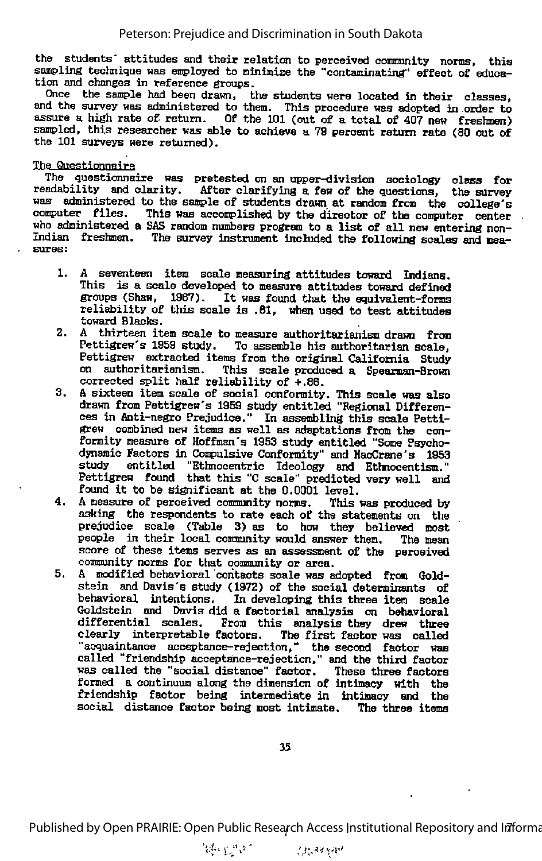the students' attitudes and their relation to perceived community norms, this sampling technique was employed to minimize the "contaminating" effect of education and changes in reference groups.

Once the sample had been drawn, the students were located in their classes, and the survey was administered to them. This procedure was adopted in order to assure a high rate of return. Of the 101 (out of a total of 407 new freshmen) sampled, this researcher was able to achieve a 79 percent return rate (80 out of the 101 surveys were returned).

#### The Questionnaire

The questionnaire was pretested on an upper-division sociology class for readability and clarity. After clarifying a few of the questions, the survey was administered to the sample of students drawn at random from the college's computer files. This was accomplished by the director of the computer center who administered a SAS random numbers program to a list of all new entering non-Indian freshmen. The survey instrument included the following scales and measures:

- 1. A seventeen item scale measuring attitudes toward Indians. This is a scale developed to measure attitudes toward defined groups (Shaw, 1987). It was found that the equivalent-forms reliability of this scale is .61, when used to test attitudes toward Blacks.
- 2. A thirteen item scale to measure authoritarianism drawn from Pettigrew's 1959 study. To assemble his authoritarian scale, on authoritarianism. This scale produced a Spearman-Brown corrected split half reliability of +.86.
- 3. A sixteen item scale of social conformity. This scale was also ces in Anti-negro Prejudice." In assembling this scale Pettigrew combined new items as well as adaptations from the con formity measure of Hoffman's 1953 study entitled "Some Psychodynamic Factors in Compulsive Conformity" and HacCrane's 1953 study entitled "Ethnocentric Ideology and Ettmocentism." Pettigrew found that this "C scale" predicted very well and found it to be significant at the 0.0001 level.
- 4. A measure of perceived community norms. This was produced by asking the respondents to rate each of the statements on the prejudice scale (Table 3) as to how they believed most people in their local community would answer them. The mean score of these items serves as an assessment of the perceived community norms for that oommunity or area.
- 5. A modified behavioral contacts scale was adopted from Gold stein and Davis's study <1972) of the social determinants of behavioral intentions. In developing this three item scale Goldstein and Davis did a factorial analysis on behavioral differential scales. From this analysis they drew three clearly interpretable factors. "acquaintance acceptance-rejection," the second factor was called "friendship acceptaince-rejeotion," and the third factor was called the "social distance" factor. These three factors formed a continuum along the dimension of intimacy with the friendship factor being intermediate in intimacy and the social distance factor being most intimate. The three items

Published by Open PRAIRIE: Open Public Research Access Institutional Repository and Informa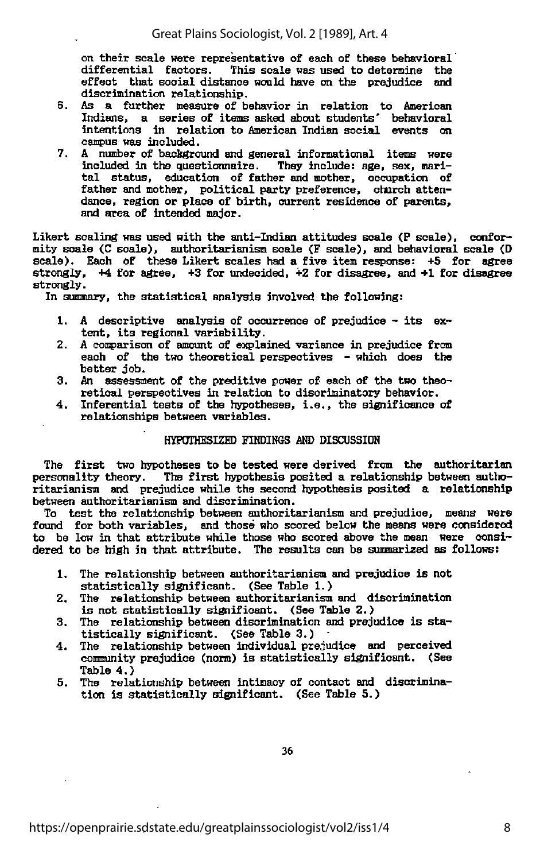on their scale were representative of each of these behavioral differential factors. This scale was used to determine the This scale was used to determine the effect that social distance would have on the prejudice and discrimination relationship.

- 6. As <sup>a</sup> further measure of behavior in relation to American Indians, <sup>a</sup> series of items asked about students' behavioral intentions In relation to American Indian social events on campus was included.
- 7. A number of background and general informational items were included in the questionnaire. They include: age, sex, mari tal status, education of father and mother, occupation of father and mother, political party preference, church atten dance, region or place of birth, current residence of parents, and area of intended major.

Likert scaling was used with the anti-Indian attitudes scale (P scale), conformity scale (C scale), authoritarianism scale <F scale), and behavioral scale (D scale). Each of these Likert scales had a five item response:  $+5$  for agree strongly,  $+4$  for agree,  $+3$  for undecided,  $+2$  for disagree, and  $+1$  for disagree strongly.

In summary, the statistical analysis involved the following:

- 1. <sup>A</sup> descriptive analysis of occurrence of prejudice its ex tent, its regional variability.
- 2. A comparison of amount of explained variance in prejudice from each of the two theoretical perspectives - which does the better job.
- 3. An assessment of the preditive power of each of the two theo retical perspectives in relation to discriminatory behavior.
- 4. Inferential tests of the hypotheses, i.e., the significance of relationships between variables.

#### HYPOTHESIZED FINDINGS AND DISCUSSION

The first two hypotheses to be tested were derived from the authoritarian personality theory. The first hypothesis posited a relationship between autho-The first hypothesis posited a relationship between authoritarianism and prejudice while the second hypothesis posited a relationship between authoritarianism and discrimination.

To test the relationship between authoritarianism and prejudice, means were found for both variables, and those who scored below the means were considered to be low in that attribute while those who scored above the mean were consi dered to be high in that attribute. The results can be sunmarized as follows:

- 1. The relationship between authoritarianism and prejudice is not statistically significant. (See Table 1.)
- 2. The relationship between authoritarianism and discrimination is not statistically significant. (See Table 2.)
- 3. The relationship between discrimination and prejudice is  $star$ tistically significant. (See Table 3.)
- 4. The relationship between individual prejudice and perceived community prejudice (norm) is statistically significant. (See Table 4.)
- 5. The relationship between intimacy of contact and discrimina tion is statistically significant. (See Table 5.)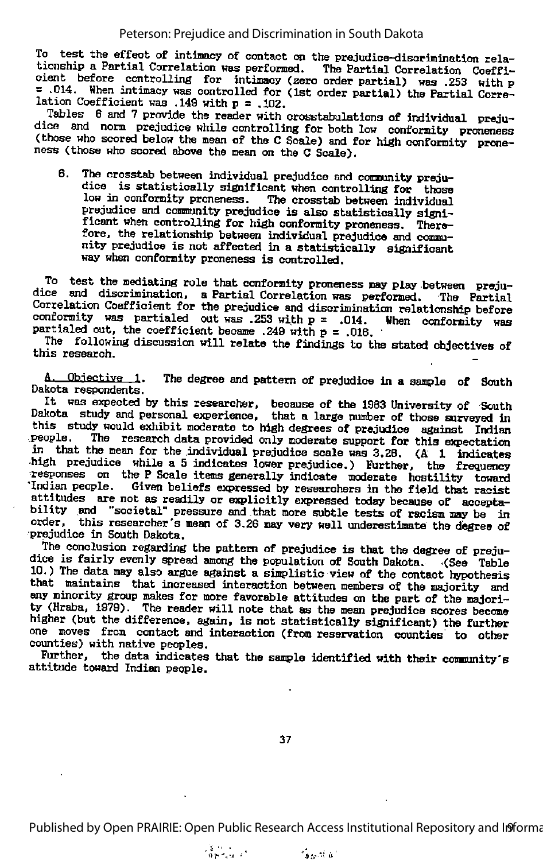To test the effect of intimacy of contact on the prejudice-disorimination rela tionship a Partial Correlation was performed. The Partial Correlation Coeffi cient before controlling for intimacy (zero order partial) was .253 with p = .014. When intimacy was controlled for (1st order partial) the Partial Correlation Coefficient was .149 with  $p = .102$ .<br>Tables 6 and 7 provide the reader with crosstabulations of individual preju-

dice and norm prejudice while controlling for both low conformity proneness (those who scored below the mean of the C Scale) and for high conformity proneness (those who scored above the mean on the C Scale).

6. The crosstab between individual prejudice and commnity preju dice is statistically significant when controlling for those low in conformity proneness. The crosstab between individual prejudice and community prejudice is also statistically significant when controlling for high conformity proneness. Therefore, the relationship between individual prejudice and community prejudice is not affected in a statistically significant way when conformity proneness is controlled.

To test the mediating role that conformity proneness may play between preju-<br>dice and discrimination, a Partial Correlation was performed. The Partial Correlation Coefficient for the prejudice and discriminaticm relationship before conformity was partialed out was .253 with  $p = .014$ . When conformity was partialed out, the coefficient became .249 with  $p = .018$ .

The following discussion will relate the findings to the stated objectives of this research.

A. Objective 1. The degree and pattern of prejudice in a sample of South Dakota respondents.

It was expected by this researcher, because of the 1983 University of South Dakota study and personal experience, that a large number of those surveyed in this study would exhibit moderate to high degrees of prejudice against Indian people. The research data provided only moderate support for this expectation in that the mean for the individual prejudice scale was 3,28. (A 1 indicates high prejudice while a 5 indicates lower prejudice.) Further, the frequency responses on the P Scale items generally indicate moderate hostility toward "Indian people. Given beliefs expressed by researchers in the field that racist attitudes are not as readily or explicitly expressed today because of accepta-<br>bility and "societal" pressure and that more subtle tests of racism may be in order, this researcher's mean of 3.26 may very well underestimate the degree of prejudice in South Dakota.

The conclusion regarding the pattern of prejudice is that the degree of preju-<br>dice is fairly evenly spread among the population of South Dakota. .(See Table 10.) The data may also argue agamst <sup>a</sup> simplistic view of the contact hypothesis that maintains that increased interaction between members of the majority and any minority group makes for more favorable attitudes on the part of the majori ty (Hraba, 1979). The reader will note that as the mean prejudice scores become higher (but the difference, again, is not statistically significant) the further one moves from contact and interaction (from reservation counties to otter counties) with native peoples.

Further, the data indicates that the sample identified with their community's attitude toward Indian people.

37

Published by Open PRAIRIE: Open Public Research Access Institutional Repository and Informa

 $\frac{3}{9}$  ,  $\frac{1}{9}$  ,  $\frac{1}{9}$  ,  $\frac{1}{9}$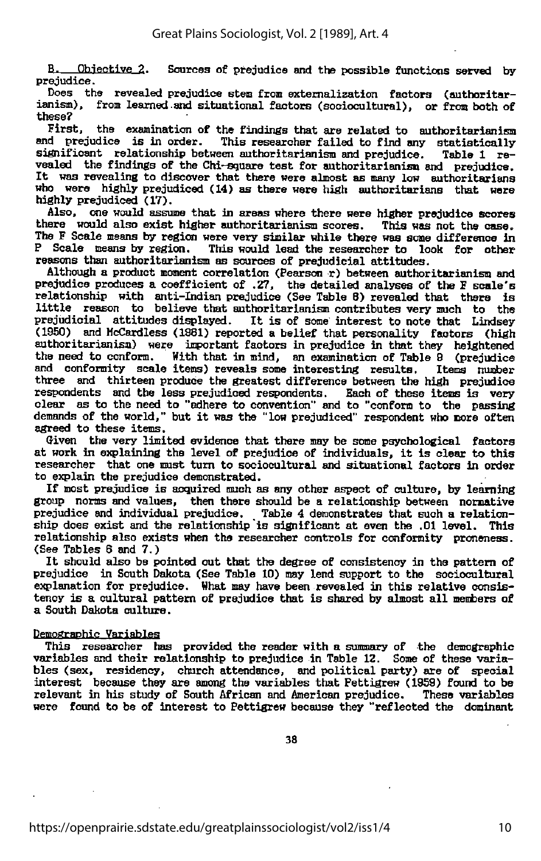B. Objective 2. Sources of prejudice and the possible functions served by prejudice.

Does the revealed prejudice stem from externalization factors (authoritarianism), from learned.and situational factors (sociocultural), or from both of these?<br>First.

the examination of the findings that are related to authoritarianism and prejudice is in order. This researcher failed to find any statistically significant relationship between authoritarianism and prejudice. Table 1 re vealed the findings of the Chi-sguare test for authoritarianism and prejudice. It was revealing to discover that there were almost as many low authoritarians who were highly prejudiced (14) as there were high authoritarians that were highly prejudiced (17).

Also, one would assume that in areas where there were higher prejudice scores there would also exist higher authoritarianism scores. This was not the case. The F Scale means by region were very similar while there was some difference in P Scale means by region. This would lead the researcher to look for other This would lead the researcher to look for other reasons than authoritarianism as sources of prejudicial attitudes.

Although a product moment correlation (Pearson r) between authoritarianism and prejudice produces a coefficient of .27, the detailed analyses of the F scale's relationship with anti-Indian prejudice (See Table 8) revealed that there is little reason to believe that authoritarianism contributes very much to the prejudicial attitudes displayed. It is of some interest to note that Lindsay (1950) and McCardless (1981) reported a belief that personality factors (high authoritarianism) were important factors in prejudice in that they heightened the need to conform. With that in mind, an examination of Table 9 (prejudice and conformity scale items) reveals some interesting results. Items number three and thirteen produce the greatest difference between the high prejudice respondents and the less prejudiced respondents. Each of these items is very clear as to the need to "adhere to convention" and to "conform to the passing demands of the world," but it was the "low prejudiced" respondent who more often agreed to these items.

Given the very limited evidence that there may be some psychological factors at work in explaining the level of prejudice of individuals, it is clear to this researcher that one must turn to sociocultural and situational factors in order to explain the prejudice demonstrated.

If most prejudice is acquired much as any other aspect of culture, by learning group norms and values, then there should be a relationship between normative prejudice and individual prejudice. Table 4 demonstrates that such a relation-<br>ship does exist and the relationship is significant at even the .01 level. This relationship also exists when the researcher controls for conformity proneness. (See Tables <sup>6</sup> and 7.)

It should also be pointed out that the degree of consistency in the pattern of prejudice in South Dakota (See Table 10) may lend support to the sociocultural explanation for prejudice. What may have been revealed in this relative consistency is <sup>a</sup> cultural pattern of prejudice that is shared by almost all members of <sup>a</sup> South Dakota culture.

#### Demographic Variables

This researcher has provided the reader with a summary of the demographic variables and their relationship to prejudice in Table 12. Some of these varia bles (sex, residency, church attendance, and political party) are of special interest because they are among the variables that Pettigrew (1959) found to be relevant in his study of South African and American prejudice. These variables relevant in his study of South African and American prejudice. were found to be of interest to Pettigrew because they "reflected the dominant

38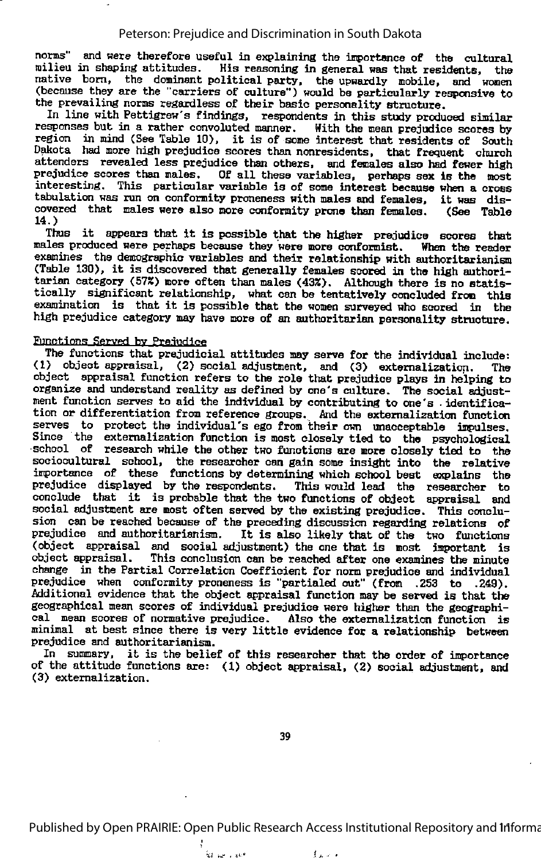norms" and were therefore useful in explaining the importance of the cultural milieu in shaping attitudes. His reasoning in general was that residents, the native born, the dominant political party, the upwardly mobile, and women<br>(because they are the "carriers of culture") would be particularly responsive to the prevailing norms regardless of their basic personality structure.

In line with Pettigrew's findings, respondents in this study produced similar responses but in a rather convoluted manner. With the mean prejudice scores by region in mind (See Table 10), it is of some interest that residents of South Dakota had more high prejudice scores than nonresidents, that frequent church attenders revealed less prejudice than others, and females also had fewer high prejudice scores than males. Of all these variables, perhaps sex is the most interesting. This particular variable is of some interest because when a cross tabulation was run on conformity proneness with males and females, it was dis covered that males were also more conformity prone than females. 14.)

Thus it appears that it is possible that the higher prejudice scores that males produced were perhaps because they were more conformist. When the reader examines the demographic variables and their relationship with authoritarianism (Table 130), it is discovered that generally females scored in the high authori tarian category (57%) more often than males (43%). Although there is no statis tically significant relationship, what can be tentatively concluded from this examination is that it is possible that the women surveyed who scored in the high prejudice category may have more of an authoritarian personality structure.

#### Functions Served by Prejudice

The functions that prejudicial attitudes may serve for the individual include: (1) object appraisal, (2) social adjustment, and (3) extemalization. The object appraisal function refers to the role that prejudice plays in helping to organize and understand reality as defined by one's culture. The social adjust ment function serves to aid the individual by contributing to one's . identifica tion or differentiation from reference groups. And the extemalization function serves to protect the individual's ego from their own unacceptable impulses. Since the externalization function is most closely tied to the psychological •school of research while the otter two functions are more closely tied to the sociocultural school, the researcher can gain some insight into the relative importance of these functions by determining which school best explains the prejudice displayed by the respondents. This would lead the researcher to conclude that it is probable that the two functions of object appraisal and social adjustment are most often served by the existing prejudice. This conclusion can be reached because of the preceding discussion regarding relations of prejudice and authoritarianism. It is also likely that of the two functions (object appraisal and social adjustment) the one that is most important is object appraisal. This conclusion can be reached after one examines the minute change in the Partial Correlation Coefficient for norm prejudice and individual prejudice when conformity proneness is "partialed out" (from .253 to .249). Additional evidence that the object appraisal function may be served is that the geographical mean scores of individual prejudice were higher than the geographi cal mean scores of normative prejudice. Also the extemalization function is minimal at best since there is very little evidence for <sup>a</sup> relationship between prejudice and authoritarianism.

In summary, it is the belief of this researcher that the order of importance of the attitude functions are: (1) object appraisal, (2) social adjustment, and (3) extemalization.

39

Published by Open PRAIRIE: Open Public Research Access Institutional Repository and Informa

 $f(x) = 1$ 

ka se i sok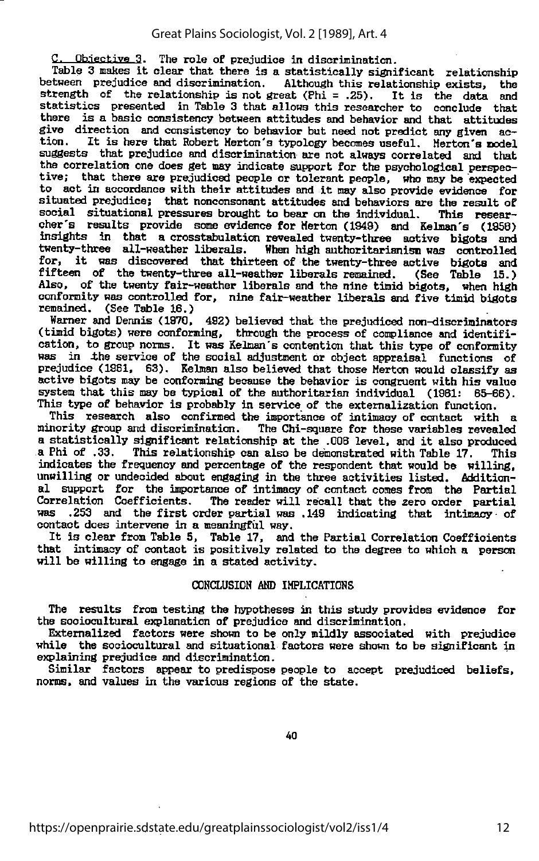Objective 3. The role of prejudice in discrimination.

Table 3 makes it clear that there is a statistically significant relationship<br>tween prejudice and discrimination. Although this relationship exists, the between prejudice and discrimination. strength of the relationship is not great  $(Phi = .25)$ . It is the data and statistics presented in Table 3 that allows this researcher to conclude that there is a basic consistency between attitudes and behavior and that attitudes give direction and consistency to behavior but need not predict any given action. It is here that Robert Merton's typology becomes useful. Merton's nodel suggests that prejudice and discrimination are not always correlated and that the correlation one does get may indicate support for the psychological perspection tive; that there are prejudiced people or tolerant people, who may be expected to act in accordance with their attitudes and it may also provide evidence for situated prejudice; that nonconsonant attitudes and behaviors are the result of social situational pressures brought to bear on the individual. This researsocial situational pressures brought to bear on the individual. cher's results provide some evidence for Merton (1949) and Kelman's (1958) insights in that a crosstabulatioo revealed twenty-three active bigots and When high authoritarianism was controlled for, it was discovered that thirteen of the twenty-three active bigots and fifteen of the twenty-three all-weather liberals remained. (See Table 15.) Also, of the twenty fair-weather liberals and the nine timid bigots, when high conformity was controlled for, nine fair-weather liberals and five timid bigots remained. (See Table 18.)

Warner and Dennis (1970, 492) believed that the prejudiced non-discriminators (timid bigots) were conforming, through the process of compliance and identifi cation, to group norms. It was Kelman's contention that this type of conformity was in the service of the social adjustment or object appraisal functions of prejudice (1981, 83). Kelman also believed that those Merton would classify as active bigots may be conforming because the behavior is congruent with his value system that this may be typical of the authoritarian individual (1981: 85-88). This type of behavior is probably in service of the extemalisation function.

This research also confirmed the importance of intimacy of contact with a minority group and discrimination. The Chi-square for these variables revealed The Chi-square for these variables revealed <sup>a</sup> statistically significant relaticmship at the .008 level, and it also produced This relationship can also be demonstrated with Table 17. indicates the frequency and percentage of the respondent that would be willing, unwilling or undecided about engaging in the three activities listed. Additional support for the importance of intimacy of contact comes from the Partial Correlation Coefficients. The reader will recall that the zero order partial was .253 and the first order partial was .149 indicating that intimacy of contact does intervene in a meaningful way.

It is clear from Table 5, Table 17, and the Partial Correlation Coefficients that intimacy of contact is positively relatai to the degree to which a person will be willing to engage in a stated activity.

#### COKCLUSIOH AND IMPLICATIONS

The results from testing the hypotheses in this study provides evidence for the sociocultural explanation of prejudice and discrimination.

Externalized factors were shown to be only mildly associated with prejudice while the sociocultural and situational factors were shown to be significant in explaining prejudice and discrimination.

Similar factors appear to predispose people to accept prejudiced beliefs, norms, and values in the various regions of the state.

40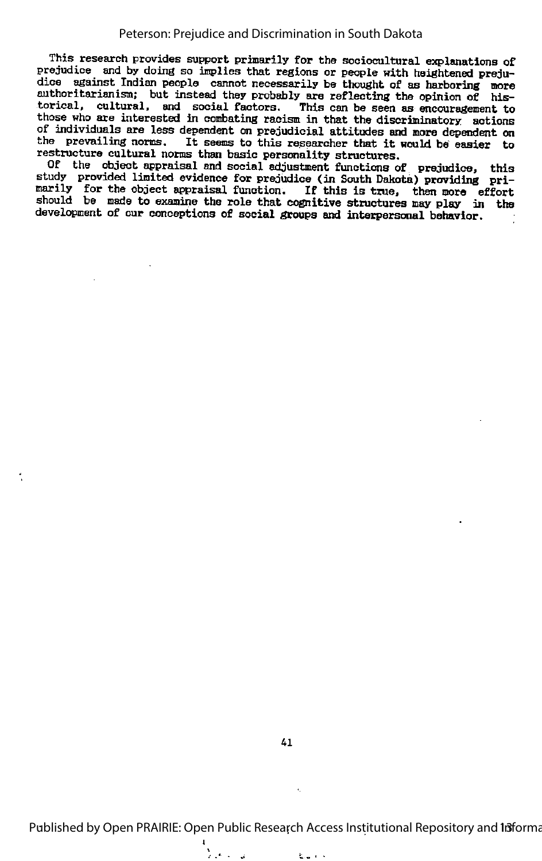This research provides support primarily for the sociocultural explanations of prejudice and by doing so implies that regions or people with heightened prejuprejudice and by doing so implies that regions or people with heightened preju-<br>dice against Indian people cannot necessarily be thought of as harboring more authoritarianism; but instead they probably are reflecting the opinion of his torical, cultural, and social factors. This can be seen as encouragement to those who are interested in combating racism in that the discriminatory actions of individuals are less dependent on prejudicial attitudes and more dependent on the prevailing norms. It seems to this researcher that it would be easier to restructure cultural norms than basic personality structures.

Of the object appraisal and social adjustment functions of prejudice, this study provided limited evidence for prejudice (in South Dakota) providing pri marily for the object appraisal function. If this is true, then more effort should be made to examine the role that cognitive structures may play in the development of our conceptions of social groups and interpersonal behavior.

Published by Open PRAIRIE: Open Public Research Access Institutional Repository and Informa

起こする

 $\tilde{\chi}$  ,  $\tilde{\chi}$  ,  $\tilde{\chi}$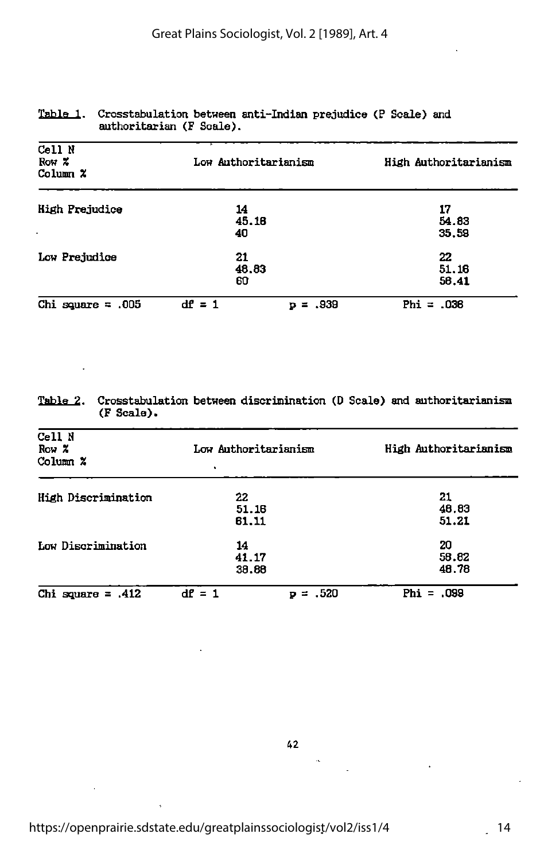| Cell N<br>Row $\boldsymbol{\mathsf{x}}$<br>Column $x$ | Low Authoritarianism |              |              | High Authoritarianism |
|-------------------------------------------------------|----------------------|--------------|--------------|-----------------------|
| <b>High Prejudice</b>                                 | 14<br>45.18<br>40    |              | 17           | 54.83<br>35.59        |
| Low Prejudice                                         | 21<br>48.83<br>60    |              | 22           | 51.18<br>56.41        |
| Chi square $= 005$                                    | $df = 1$             | $=.939$<br>ъ | $Phi = .036$ |                       |

#### Table 1. Crosstabulation between anti-Indian prejudice (P Scale) and authoritarian (F Scale).

#### Table 2. Crosstabulation between discrimination (D Scale) and authoritarianism CF Scale).

 $\ddot{\phantom{a}}$ 

| Cell N<br>Row X<br>Column $\chi$ | Low Authoritarianism |               | High Authoritarianism |  |
|----------------------------------|----------------------|---------------|-----------------------|--|
| High Discrimination              | 22<br>51.16<br>61,11 |               | 21<br>48.83<br>51.21  |  |
| Low Discrimination               | 14<br>41.17<br>38.68 |               | 20<br>58.82<br>48.78  |  |
| Chi square $=$ 412               | $df = 1$             | $= .520$<br>P | $Phi = .099$          |  |

 $\ddot{\phantom{0}}$ 

 $\ddot{\phantom{a}}$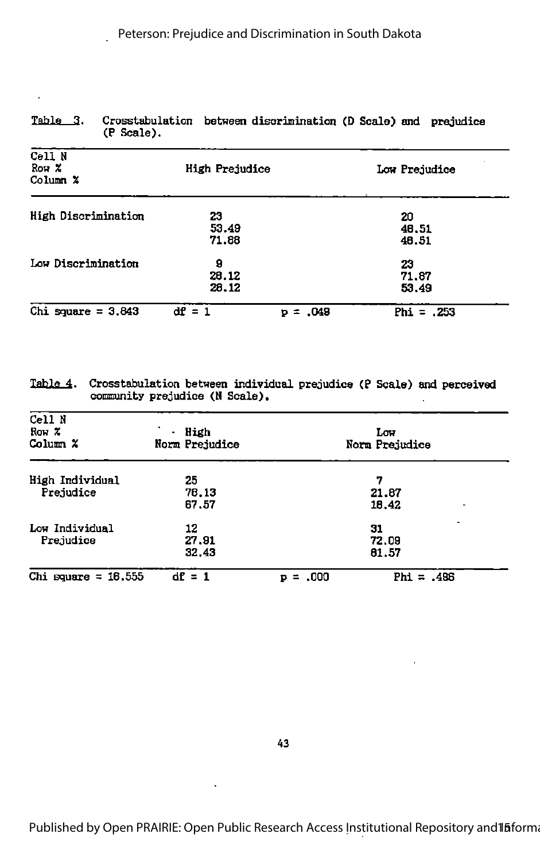| (P Scale).                       |                      |            |                      |  |
|----------------------------------|----------------------|------------|----------------------|--|
| Cell N<br>Row $\chi$<br>Column X | High Prejudice       |            | Low Prejudice        |  |
| High Discrimination              | 23<br>53.49<br>71.88 |            | 20<br>48.51<br>46.51 |  |
| Low Discrimination               | 9<br>28.12<br>28.12  |            | 23<br>71.87<br>53.49 |  |
| Chi square = $3.843$             | $df = 1$             | $p = .049$ | Phi = $.253$         |  |

# Table 3. Crosstabulation between discrimination (D Scale) and prejudice

 $\ddot{\phantom{0}}$ 

Table 4. Crosstabulation between individual prejudice (P Scale) and perceived community prejudice (N Scale).

| Cell N<br>Row $\chi$<br>Column $x$                  | ٠<br>lligh<br>٠<br>Norm Prejudice | Low<br>Norm Prejudice         |
|-----------------------------------------------------|-----------------------------------|-------------------------------|
| High Individual<br>Prejudice                        | 25<br>78.13<br>67,57              | 7<br>21.87<br>18.42           |
| Low Individual<br>12<br>Prejudice<br>27.91<br>32.43 |                                   | 31<br>72.09<br>81.57          |
| Chi square = $16.555$                               | $dE = 1$                          | Phi = $.496$<br>$= .000$<br>Þ |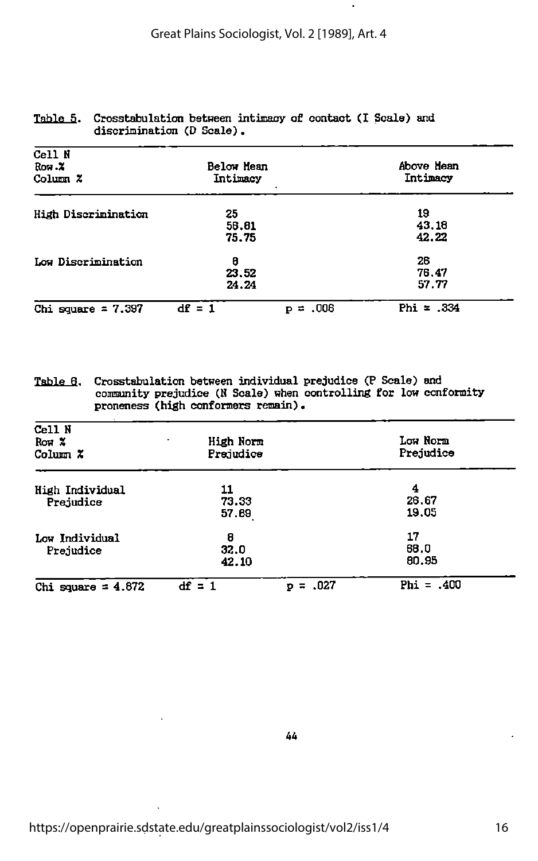$\cdot$ 

| Cell N<br>Row.X<br>Column Z | Below Mean<br>Intimacy |                | Above Hean<br>Intimacy |  |
|-----------------------------|------------------------|----------------|------------------------|--|
| High Discrimination         | 25<br>56.81<br>75.75   |                | 19<br>43.18<br>42.22   |  |
| Low Discrimination          | 8<br>23.52<br>24.24    |                | 26<br>76.47<br>57.77   |  |
| Chi square = $7.397$        | $df = 1$               | .006<br>ニ<br>P | Phi = $.334$           |  |

#### Table 5. Crosstabulation between intimacy of contact (I Scale) and discrimination (D Scale).

| Table 6. | Crosstabulation between individual prejudice (P Scale) and        |
|----------|-------------------------------------------------------------------|
|          | community prejudice (N Scale) when controlling for low conformity |
|          | proneness (high conformers remain).                               |

| Cell N<br>Row $\boldsymbol{\mathsf{x}}$<br>Column $\chi$ | High Norm<br>۰.<br>Prejudice |                | Low Norm<br>Prejudice |  |
|----------------------------------------------------------|------------------------------|----------------|-----------------------|--|
| High Individual<br>Prejudice                             | 11<br>73.33<br>57.69         |                | 4<br>26.67<br>19.05   |  |
| Low Individual<br>Prejudice                              | 8<br>32.0<br>42.10           |                | 17<br>68.0<br>80.95   |  |
| Chi square $= 4.872$                                     | $df = 1$                     | $= .027$<br>D. | Phi = $.400$          |  |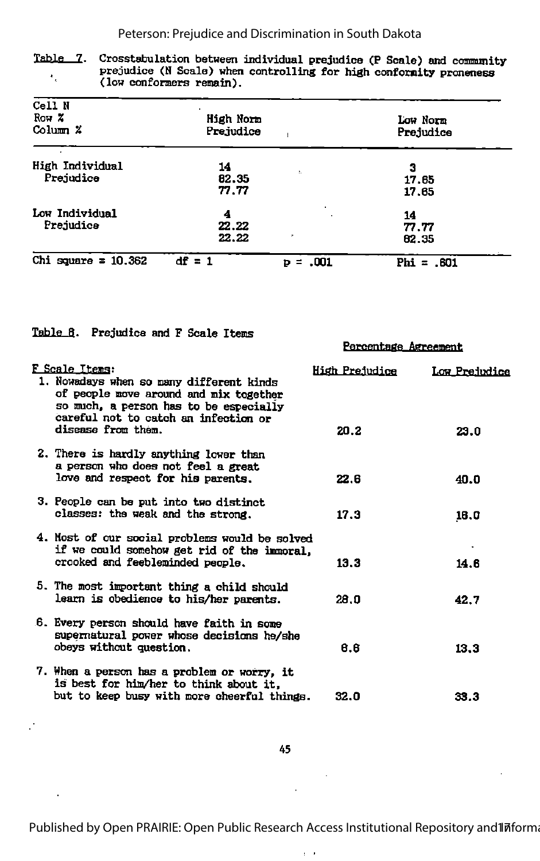Table 7. Crosstabulation between individual prejudice (P Scale) and community prejudice (N Scale) when controlling for high conformity proneness  $\epsilon_{\rm g}$ (low conformers remain).

| Cell N<br>Row $\boldsymbol{\mathsf{x}}$<br>Column $\chi$ | High Norm<br>Prejudice |                | Low Norm<br>Prejudice |
|----------------------------------------------------------|------------------------|----------------|-----------------------|
| High Individual<br>Prejudice                             | 14<br>82.35            | ¢.             | 3<br>17.65            |
| Low Individual                                           | 77.77<br>4             |                | 17.65<br>14           |
| Prejudice                                                | 22.22<br>22.22         | ×              | 77.77<br>82.35        |
| Chi square = $10.362$                                    | $df = 1$               | .001<br>Þ<br>⋍ | $Phi = .601$          |

|  | Table 8. Prejudice and F Scale Items |  |  |  |  |
|--|--------------------------------------|--|--|--|--|
|--|--------------------------------------|--|--|--|--|

 $\mathcal{L}$ 

÷,

|                                                                                                                                                                                        | Percentage Agreement |                   |
|----------------------------------------------------------------------------------------------------------------------------------------------------------------------------------------|----------------------|-------------------|
| F Scale Items:<br>1. Nowadays when so many different kinds<br>of people move around and mix together<br>so much, a person has to be especially<br>careful not to catch an infection or | High Prejudice       | Low Prejudice     |
| disease from them.                                                                                                                                                                     | 20.2                 | 23.0              |
| 2. There is hardly anything lower than<br>a person who does not feel a great<br>love and respect for his parents.                                                                      | 22.6                 | 40.0              |
| 3. People can be put into two distinct<br>classes: the weak and the strong.                                                                                                            | 17.3                 | 16.0              |
| 4. Most of our social problems would be solved<br>if we could somehow get rid of the immoral,<br>crooked and feebleminded people.                                                      | 13.3                 | $\bullet$<br>14.6 |
| 5. The most important thing a child should<br>learn is obedience to his/her parents.                                                                                                   | 28.O                 | 42.7              |
| 6. Every person should have faith in some<br>supernatural power whose decisions he/she<br>obeys without question.                                                                      | 6.6                  | 13.3              |
| 7. When a person has a problem or worry, it<br>is best for him/her to think about it.<br>but to keep busy with more cheerful things.                                                   | 32.0                 | 33.3              |

 $\ddot{\phantom{a}}$ 

 $\bar{r}$  .

 $\bar{\beta}$ 

 $\mathcal{L}^{\pm}$ 

Published by Open PRAIRIE: Open Public Research Access Institutional Repository and Informa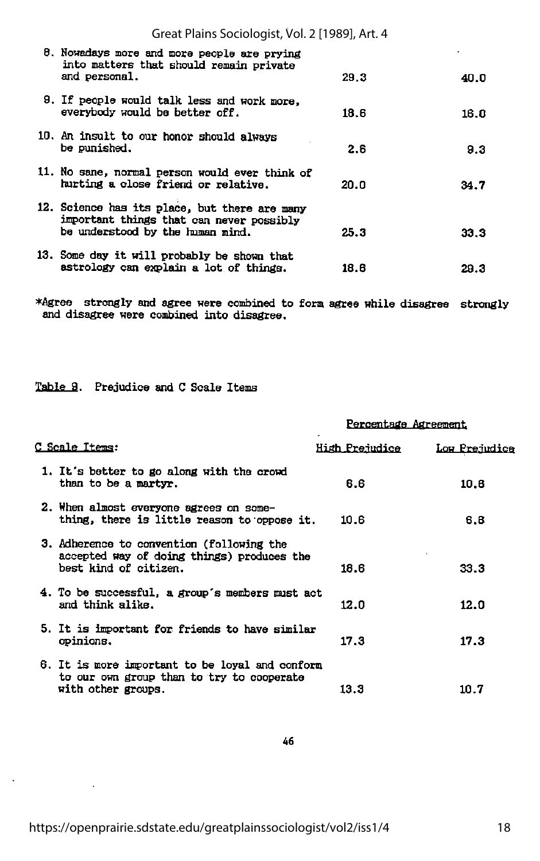| Great Plains Sociologist, Vol. 2 [1989], Art. 4                                                                               |      |      |
|-------------------------------------------------------------------------------------------------------------------------------|------|------|
| 8. Nowadays more and more people are prying<br>into matters that should remain private<br>and personal.                       | 29.3 | 40.0 |
| 9. If people would talk less and work more,<br>everybody would be better off.                                                 | 18.6 | 16.0 |
| 10. An insult to our honor should always<br>be punished.                                                                      | 2.6  | 9.3  |
| 11. No sane, normal person would ever think of<br>hurting a close friend or relative.                                         | 20.0 | 34.7 |
| 12. Science has its place, but there are many<br>important things that can never possibly<br>be understood by the human mind. | 25.3 | 33.3 |
| 13. Some day it will probably be shown that<br>astrology can explain a lot of things.                                         | 18.6 | 29.3 |

\*Agree strongly and agree were combined to form agree while disagree strongly and disagree were combined into disagree.

#### Table 9. Prejudice and C Scale Items

|                                                                                                                    | Percentage Agreement  |               |  |
|--------------------------------------------------------------------------------------------------------------------|-----------------------|---------------|--|
| C Scale Items:                                                                                                     | <b>High Prejudice</b> | Low Prejudice |  |
| 1. It's better to go along with the crowd<br>than to be a martyr.                                                  | 6.6                   | 10.6          |  |
| 2. When almost everyone agrees on some-<br>thing, there is little reason to oppose it.                             | 10.6                  | 6.8           |  |
| 3. Adherence to convention (following the<br>accepted way of doing things) produces the<br>best kind of citizen.   | 18.6                  | 33.3          |  |
| 4. To be successful, a group's members must act<br>and think alike.                                                | 12.0                  | 12.0          |  |
| 5. It is important for friends to have similar<br>opinions.                                                        | 17.3                  | 17.3          |  |
| 6. It is more important to be loyal and conform<br>to our own group than to try to cooperate<br>with other groups. | 13.3                  | 10.7          |  |

 $\ddot{\phantom{a}}$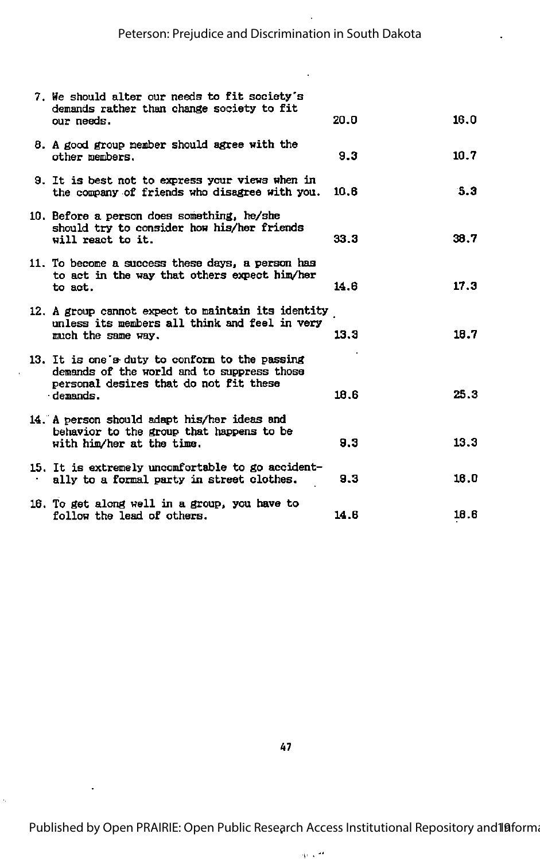| 7. We should alter our needs to fit society's<br>demands rather than change society to fit<br>our needs.                                           | 20.0 | 16.0 |
|----------------------------------------------------------------------------------------------------------------------------------------------------|------|------|
| 8. A good group member should agree with the<br>other members.                                                                                     | 9.3  | 10.7 |
| 9. It is best not to express your views when in<br>the company of friends who disagree with you.                                                   | 10.6 | 5.3  |
| 10. Before a person does something, he/she<br>should try to consider how his/her friends<br>will react to it.                                      | 33.3 | 38.7 |
| 11. To become a success these days, a person has<br>to act in the way that others expect him/her<br>to act.                                        | 14.6 | 17.3 |
| 12. A group cannot expect to maintain its identity<br>unless its members all think and feel in very<br>much the same way.                          | 13.3 | 18.7 |
| 13. It is one's duty to conform to the passing<br>demands of the world and to suppress those<br>personal desires that do not fit these<br>demands. | 18.6 | 25.3 |
| 14. A person should adapt his/her ideas and<br>behavior to the group that happens to be<br>with him/her at the time.                               | 9.3  | 13.3 |
| 15. It is extremely uncomfortable to go accident-<br>ally to a formal party in street clothes.                                                     | 9.3  | 16.0 |
| 16. To get along well in a group, you have to<br>follow the lead of others.                                                                        | 14.6 | 18.6 |

Ŷ,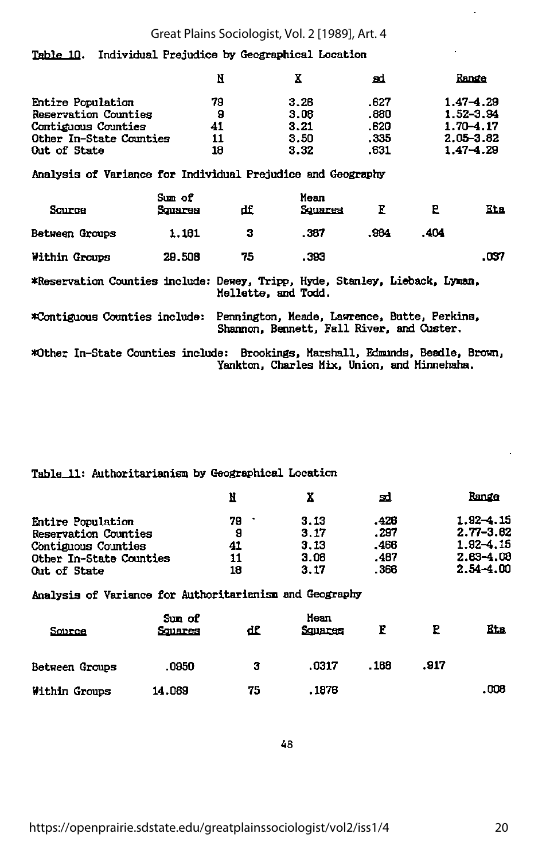#### Great Plains Sociologist, Vol. 2 [1989], Art. 4

#### Table IQ. Individual Prejudice by Geographical Location

|                                                                                                                               |         | N       | x            | вd           |      | Range                          |
|-------------------------------------------------------------------------------------------------------------------------------|---------|---------|--------------|--------------|------|--------------------------------|
| Entire Population<br><b>Reservation Counties</b>                                                                              |         | 79<br>9 | 3.26<br>3.06 | .627<br>.880 |      | $1.47 - 4.29$<br>$1.52 - 3.94$ |
| <b>Contiguous Counties</b>                                                                                                    |         | 41      | 3.21         | .620         |      | 1.70–4.17                      |
| Other In-State Counties                                                                                                       |         | 11      | 3.50         | . 335        |      | $2.05 - 3.82$                  |
| Out of State                                                                                                                  |         | 18      | 3.32         | . 631        |      | $1.47 - 4.29$                  |
| Analysis of Variance for Individual Prejudice and Geography                                                                   |         |         |              |              |      |                                |
|                                                                                                                               | Sum of  |         | Mean         |              |      |                                |
| Source                                                                                                                        | Squares | df.     | Squares      | E            | P    | Eta                            |
| Between Groups                                                                                                                | 1.161   | з       | . 387        | .984         | .404 |                                |
| Within Groups                                                                                                                 | 29,508  | 75      | .393         |              |      | .037                           |
| *Reservation Counties include: Dewey, Tripp, Hyde, Stanley, Lieback, Lyman,<br>Mellette, and Todd.                            |         |         |              |              |      |                                |
| Pennington, Meade, Lawrence, Butte, Perkins,<br>*Contiguous Counties include:<br>Shannon, Bennett, Fall River, and Custer.    |         |         |              |              |      |                                |
| *Other In-State Counties include: Brookings, Marshall, Edmunds, Beadle, Brown,<br>Yankton, Charles Mix, Union, and Minnehaha. |         |         |              |              |      |                                |

#### Table 11: Authoritarianism by Geographical Location

|    |      | Ξd   | Range         |
|----|------|------|---------------|
| 79 | 3.13 | .426 | $1.92 - 1.15$ |
| 9  | 3.17 | .297 | 2.77-3.62     |
| 41 | 3.13 | .466 | $1.92 - 4.15$ |
| 11 | 3.06 | .487 | $2.83 - 4.08$ |
| 18 | 3.17 | .366 | $2.54 - 4.00$ |
|    |      |      |               |

Analysis of Variance for Authoritarianism and Geography

| Source         | Sun of<br>Squares | df | Mean<br>Squares | R     |      | <b>Eta</b> |
|----------------|-------------------|----|-----------------|-------|------|------------|
| Between Groups | .0950             | з  | .0317           | . 168 | .917 |            |
| Within Groups  | 14.069            | 75 | .1876           |       |      | .008       |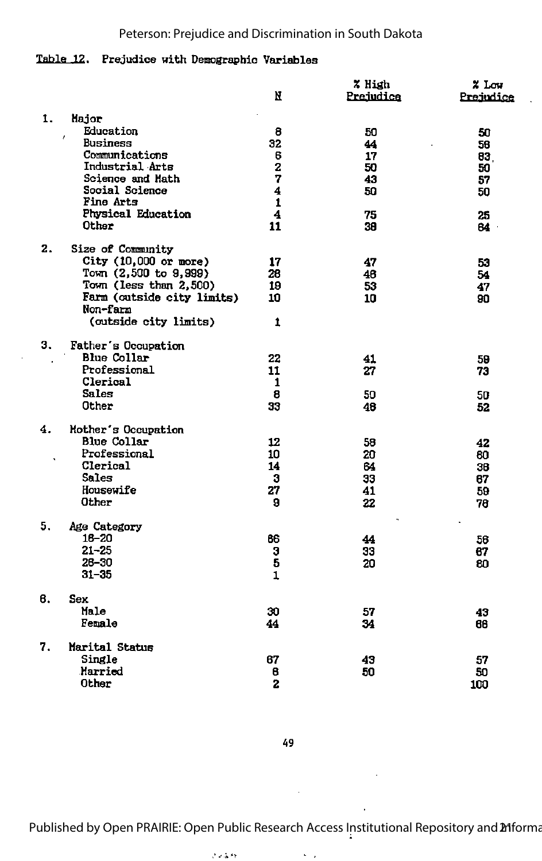#### Peterson: Prejudice and Discrimination in South Dakota

#### Table 12. Prejudice with Demographic Variables

|    |                                        | И                       | % High<br>Prejudice | % Low<br>Prejudice |
|----|----------------------------------------|-------------------------|---------------------|--------------------|
| 1. | Major                                  |                         |                     |                    |
|    | Education<br>$\epsilon$                | 8                       | 50                  | 50                 |
|    | <b>Business</b>                        | 32                      | 44                  | 56                 |
|    | Communications                         | 6                       | 17                  | 83.                |
|    | Industrial Arts                        | $\overline{\mathbf{z}}$ | 50                  | 50                 |
|    | Science and Math                       | 7                       | 43                  | 57                 |
|    | <b>Social Science</b>                  | $\overline{\mathbf{4}}$ | 50                  | 50                 |
|    | Fine Arts                              | $\mathbf 1$             |                     |                    |
|    | Physical Education                     | 4                       | 75                  | 25                 |
|    | Other                                  | 11                      | 39                  | 64.                |
| 2. | Size of Community                      |                         |                     |                    |
|    | City $(10,000$ or more)                | 17                      | 47                  | 53                 |
|    | Town (2,500 to 9,999)                  | 28                      | 46                  | 54                 |
|    | Town (less than 2,500)                 | 19                      | 53                  | 47                 |
|    | Farm (outside city limits)<br>Non-farm | 10                      | 10                  | 90                 |
|    | (outside city limits)                  | 1                       |                     |                    |
| З. | Father's Occupation                    |                         |                     |                    |
|    | Blue Collar                            | 22                      | 41                  | 59                 |
|    | Professional                           | 11                      | 27                  | 73                 |
|    | Clerical                               | 1                       |                     |                    |
|    | <b>Sales</b>                           | 8                       | 50                  | 50                 |
|    | Other                                  | 33                      | 48                  | 52                 |
| 4. | Mother's Occupation                    |                         |                     |                    |
|    | <b>Blue Collar</b>                     | 12                      | 58                  | 42                 |
|    | Professional                           | 10                      | 20                  | 60                 |
|    | Clerical                               | 14                      | 64                  | 36                 |
|    | <b>Sales</b>                           | 3                       | 33                  | 67                 |
|    | Housewife                              | 27                      | 41                  | 59                 |
|    | Other                                  | 9                       | 22                  | 78                 |
| 5. | Age Category                           |                         |                     |                    |
|    | $16 - 20$                              | 66                      | 44                  | 56                 |
|    | $21 - 25$                              | 3                       | 33                  | 67                 |
|    | 26-30                                  | $\overline{\bf{5}}$     | 20                  | 80                 |
|    | $31 - 35$                              | $\mathbf{1}$            |                     |                    |
| в. | Sex                                    |                         |                     |                    |
|    | Male                                   | 30                      | 57                  | 43                 |
|    | Female                                 | 44                      | 34                  | 66                 |
| 7. | Marital Status                         |                         |                     |                    |
|    | Single                                 | 67                      | 43                  | 57                 |
|    | Married                                | 8                       | 50                  | 50                 |
|    | Other                                  | 2                       |                     | 100                |

49

 $\ddot{\phantom{a}}$ 

Published by Open PRAIRIE: Open Public Research Access Institutional Repository and 21 forma

 $\sim$   $\sim$ 

 $\mathcal{E} \rightarrow \mathcal{E} \rightarrow \mathcal{E}$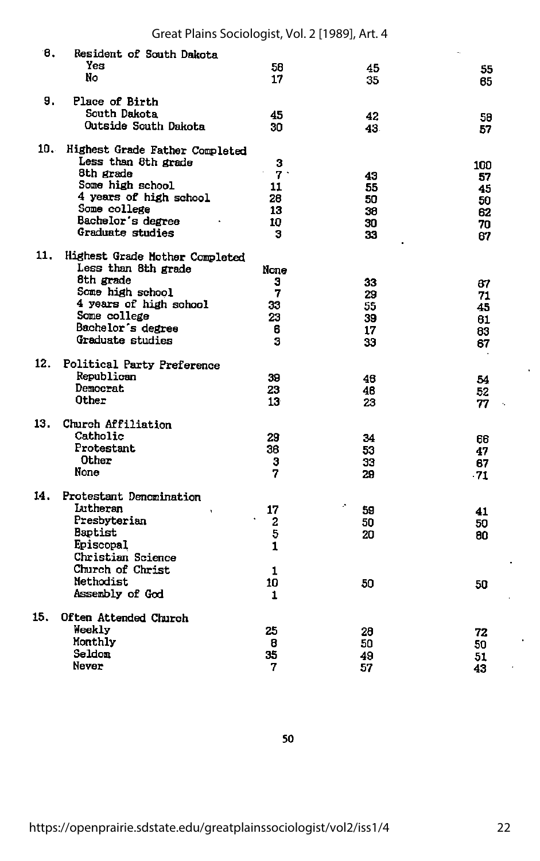| 8.  | Resident of South Dakota<br>Yes<br>No | 58<br>17        | 45<br>35 | 55<br>65 |
|-----|---------------------------------------|-----------------|----------|----------|
| 9.  | Place of Birth                        |                 |          |          |
|     | South Dakota                          | 45              | 42       | 58       |
|     | Outside South Dakota                  | 30              | 43.      | 57       |
| 10. | Highest Grade Father Completed        |                 |          |          |
|     | Less than 8th grade                   | 3               |          | 100      |
|     | 8th grade                             | 7.1             | 43       | 57       |
|     | Some high school                      | 11              | 55       | 45       |
|     | 4 years of high school                | 28              | 50       | 50       |
|     | Some college                          | 13              | 38       | 62       |
|     | Bachelor's degree                     | 10              | 30       | 70       |
|     | Graduate studies                      | з               | 33       | 67       |
| 11. | Highest Grade Mother Completed        |                 |          |          |
|     | Less than 8th grade                   | None            |          |          |
|     | 8th grade                             | з               | 33       | 87       |
|     | Some high school                      | 7               | 29       | 71       |
|     | 4 years of high school                | 33              | 55       | 45       |
|     | Some college                          | 23              | 39       | 61       |
|     | Bachelor's degree<br>Graduate studies | 6               | 17       | 83       |
|     |                                       | 3               | 33       | 67       |
| 12. | Political Party Preference            |                 |          |          |
|     | Republican                            | 39              | 46       | 54       |
|     | Democrat<br>Other                     | 23              | 48       | 52       |
|     |                                       | 13 <sup>°</sup> | 23       | 77       |
| 13. | Church Affiliation                    |                 |          |          |
|     | Catholic                              | 29              | 34       | 66       |
|     | Protestant                            | 36              | 53       | 47       |
|     | Other                                 | 3               | 33       | 67       |
|     | None                                  | 7               | 29       | $-71$    |
| 14. | Protestant Denomination               |                 |          |          |
|     | Lutheran                              | 17              | ÷,<br>59 | 41       |
|     | Presbyterian                          | 2               | 50       | 50       |
|     | <b>Baptist</b>                        | 5               | 20       | 80       |
|     | Episcopal                             | $\mathbf{1}$    |          |          |
|     | Christian Science                     |                 |          |          |
|     | Church of Christ                      | 1               |          |          |
|     | Methodist                             | 10              | 50       | 50       |
|     | Assembly of God                       | 1               |          |          |
| 15. | Often Attended Church                 |                 |          |          |
|     | Weekly                                | 25              | 28       | 72       |
|     | Monthly                               | 8               | 50       | 50       |
|     | Seldom                                | 35              | 49       | 51       |
|     | Never                                 | 7               | 57       | 43       |

50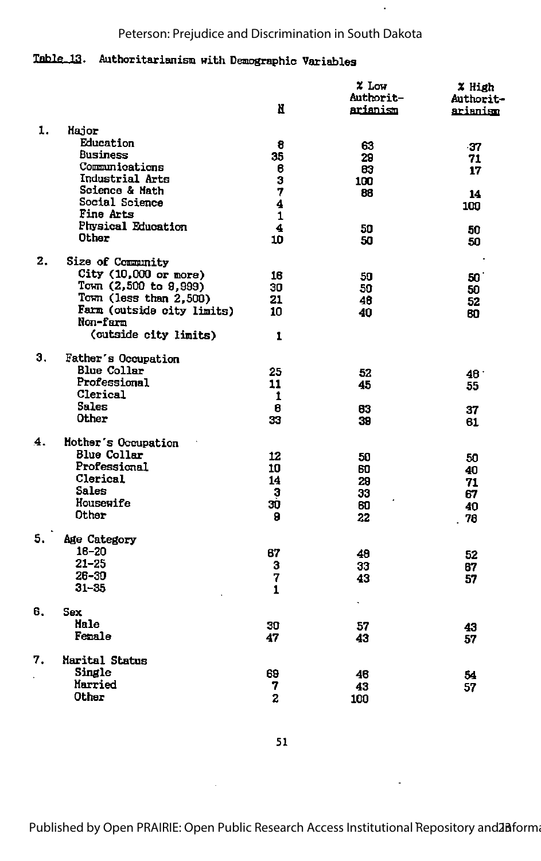#### Peterson: Prejudice and Discrimination in South Dakota

J.

### Table 13. Authoritarianism with Demographic Variables

|    |                                        | И                       | $x$ Low<br><b>Authorit-</b><br>arianism | % High<br><b>Authorit-</b><br>arianism |
|----|----------------------------------------|-------------------------|-----------------------------------------|----------------------------------------|
| 1. | Major                                  |                         |                                         |                                        |
|    | Education                              | 8                       | 63                                      | -37                                    |
|    | Business                               | 35                      | 29                                      | 71                                     |
|    | Communications                         | 6                       | 83                                      | 17                                     |
|    | Industrial Arts                        | $\overline{\mathbf{3}}$ | 100                                     |                                        |
|    | Science & Math                         | 7                       | 88                                      | 14                                     |
|    | Social Science                         | $\overline{\mathbf{4}}$ |                                         | 100                                    |
|    | Fine Arts                              | $\mathbf{1}$            |                                         |                                        |
|    | <b>Physical Education</b>              | 4                       | 50                                      | 50                                     |
|    | Other                                  | 10                      | 50                                      | 50                                     |
| 2. | Size of Community                      |                         |                                         |                                        |
|    | City $(10,000 \text{ or more})$        | 16                      | 50                                      | 50                                     |
|    | Town (2,500 to 9,999)                  | 30                      | 50                                      | 50                                     |
|    | Town (less than 2,500)                 | 21                      | 48                                      | 52                                     |
|    | Farm (outside city limits)<br>Non-farm | 10                      | 40                                      | 60                                     |
|    | (outside city limits)                  | 1                       |                                         |                                        |
| Э. | Father's Occupation                    |                         |                                         |                                        |
|    | <b>Blue Collar</b>                     | 25                      | 52                                      |                                        |
|    | Professional                           | 11                      | 45                                      | 46.                                    |
|    | Clerical                               | 1                       |                                         | 55                                     |
|    | <b>Sales</b>                           | 8                       | 63                                      |                                        |
|    | Other                                  | 33                      | 39                                      | 37<br>61                               |
| 4. | Mother's Occupation                    |                         |                                         |                                        |
|    | <b>Blue Collar</b>                     | 12                      | 50                                      | 50                                     |
|    | Professional                           | 10                      | 60                                      | 40                                     |
|    | Clerical                               | 14                      | 29                                      | 71                                     |
|    | <b>Sales</b>                           | 3                       | 33                                      | 67                                     |
|    | Housewife                              | 30                      | 60                                      | 40                                     |
|    | Other                                  | 9                       | 22                                      | 78                                     |
| 5. | Age Category                           |                         |                                         |                                        |
|    | $16 - 20$                              | 67                      | 48                                      | 52                                     |
|    | $21 - 25$                              | 3                       | 33                                      | 67                                     |
|    | 26-30                                  | 7                       | 43                                      | 57                                     |
|    | $31 - 35$                              | $\mathbf{1}$            |                                         |                                        |
| 6. | Sex                                    |                         | $\bullet$                               |                                        |
|    | Male                                   | 30                      | 57                                      | 43                                     |
|    | Female                                 | 47                      | 43                                      | 57                                     |
| 7. | Marital Status                         |                         |                                         |                                        |
|    | Single                                 | 69                      | 46                                      | 54                                     |
|    | Married                                | 7                       | 43                                      | 57                                     |
|    | Other                                  | $\mathbf{z}$            | 100                                     |                                        |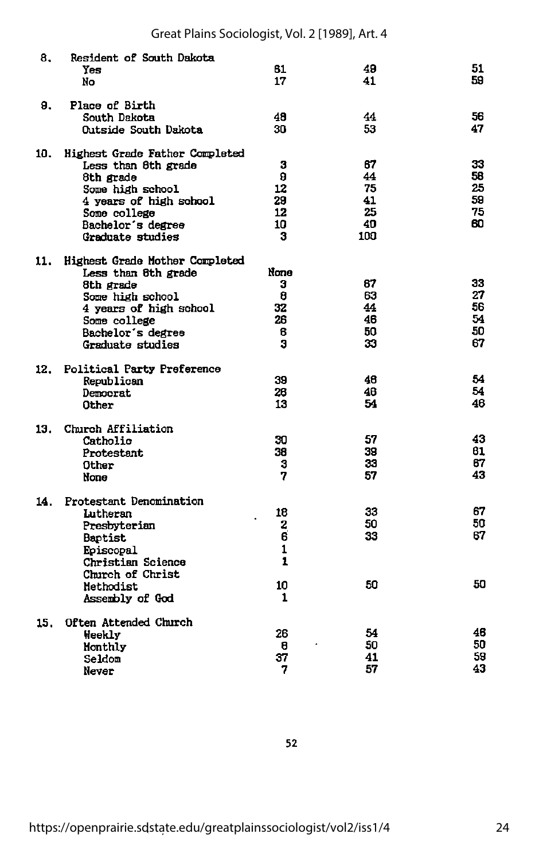| 8.  | <b>Resident of South Dakota</b><br>Yes<br>No                                                                                                                                     | 61<br>17                             | 49<br>41                                | 51<br>59                         |
|-----|----------------------------------------------------------------------------------------------------------------------------------------------------------------------------------|--------------------------------------|-----------------------------------------|----------------------------------|
| 9.  | Place of Birth<br>South Dakota<br>Outside South Dakota                                                                                                                           | 48<br>30.                            | 44<br>53                                | 56<br>47                         |
| 10. | <b>Highest Grade Father Completed</b><br>Less than 8th grade<br>8th grade<br>Some high school<br>4 years of high school<br>Some college<br>Bachelor's degree<br>Graduate studies | з<br>9<br>12<br>29<br>12<br>10<br>3  | 67<br>44<br>75<br>41<br>25<br>40<br>100 | 33<br>56<br>25<br>59<br>75<br>60 |
| 11. | Highest Grade Mother Completed<br>Less than 8th grade<br>8th grade<br>Some high school<br>4 years of high school<br>Some college<br>Bachelor's degree<br>Graduate studies        | None<br>з<br>8<br>32<br>26<br>8<br>Я | 67<br>63<br>44<br>46<br>50<br>33        | 33<br>27<br>56<br>54<br>50<br>67 |
| 12. | <b>Political Party Preference</b><br>Republican<br>Democrat<br>Other                                                                                                             | 39<br>26<br>13                       | 46<br>46<br>54                          | 54<br>54<br>46                   |
| 13. | Church Affiliation<br>Catholic<br>Protestant<br>Other<br>None                                                                                                                    | 30<br>38<br>3<br>7                   | 57<br>39<br>33<br>57                    | 43<br>61<br>87<br>43             |
| 14. | Protestant Denomination<br>Lutheran<br>Presbyterian<br><b>Baptist</b><br>Episcopal<br>Christian Science<br>Church of Christ<br>Methodist<br>Assembly of God                      | 18<br>2<br>6<br>1<br>1<br>10<br>1    | 33<br>50<br>33<br>50                    | 67<br>50<br>67<br>50             |
| 15. | Often Attended Church<br>Weekly<br>Honthly<br>Seldom<br>Never                                                                                                                    | 26<br>8<br>37<br>7                   | 54<br>50<br>41<br>57                    | 46<br>50<br>59<br>43             |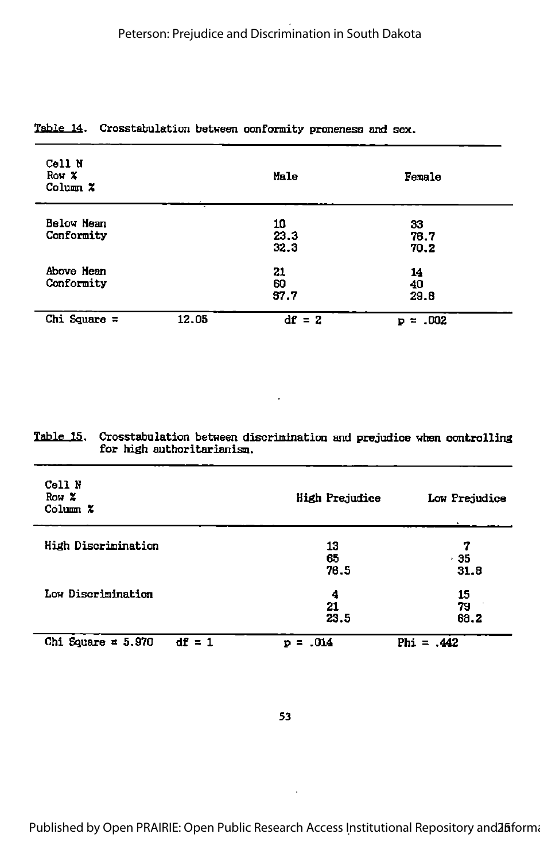| Cell N<br>Row X<br>Column X |       | Male               | Female             |
|-----------------------------|-------|--------------------|--------------------|
| Below Mean<br>Conformity    |       | 10<br>23.3<br>32.3 | 33<br>76.7<br>70.2 |
| Above Hean<br>Conformity    |       | 21<br>60<br>67.7   | 14<br>40<br>29.8   |
| Chi Square $=$              | 12.05 | $df = 2$           | $= .002$<br>Þ      |

#### Table 14. Crosstabulation between conformity proneness and sex.

#### Table 15. Crosstabulation between discrimination and prejudice when controlling for high authoritarianism.

| Cell N<br>Row X<br>Column X      | High Prejudice | Low Prejudice |
|----------------------------------|----------------|---------------|
| High Discrimination              | 13<br>65       | 7<br>- 35     |
|                                  | 76.5           | 31.8          |
| Low Discrimination               | 4              | 15            |
|                                  | 21<br>23.5     | 79<br>68.2    |
| Chi Square = $5.970$<br>$df = 1$ | $= 0.014$<br>Þ | Phi = $.442$  |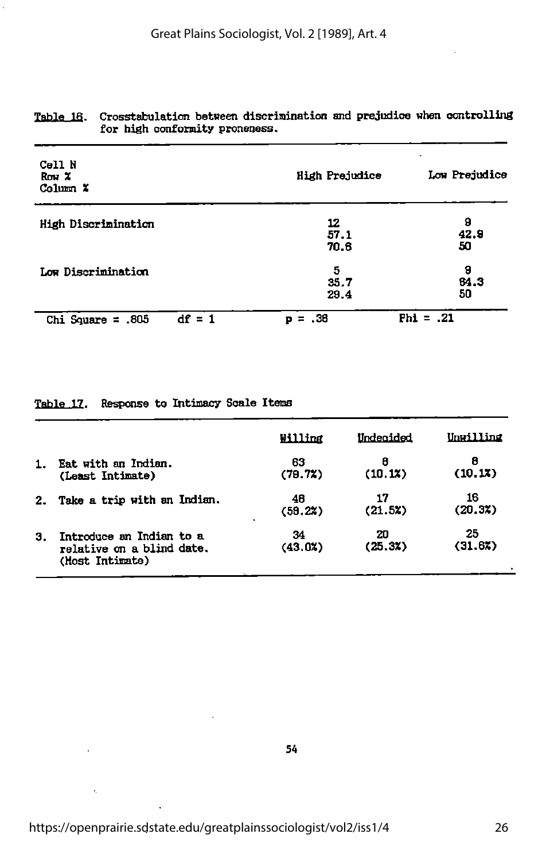| Cell N<br>Row <sub>x</sub><br>Column X | <b>High Prejudice</b> | Low Prejudice   |  |
|----------------------------------------|-----------------------|-----------------|--|
| High Discrimination                    | 12<br>57.1<br>70.6    | 9<br>42.9<br>50 |  |
| Low Discrimination                     | 5<br>35.7<br>29.4     | 9<br>64.3<br>50 |  |
| $df = 1$<br>Chi Square = $.805$        | - 38<br>Þ<br>=        | $Phi = .21$     |  |

#### Table 16. Crosstabulation between discrimination and prejudice when controlling for high conformity proneness.

Table 17. Response to Intimacy Scale Items

|    |                                                                          | Willing                         | Undecided     | Unwilling     |
|----|--------------------------------------------------------------------------|---------------------------------|---------------|---------------|
| 1. | Eat with an Indian.<br>(Least Intimate)                                  | 63<br>(79.7)                    | 8<br>(10.1)   | 8<br>(10.13)  |
| 2. | Take a trip with an Indian.                                              | 46<br>(58.22)<br>$\blacksquare$ | 17<br>(21.5x) | 16<br>(20.3)  |
| З. | Introduce an Indian to a<br>relative on a blind date.<br>(Host Intimate) | 34<br>(43.03)                   | 20<br>(25.3)  | 25<br>(31.6%) |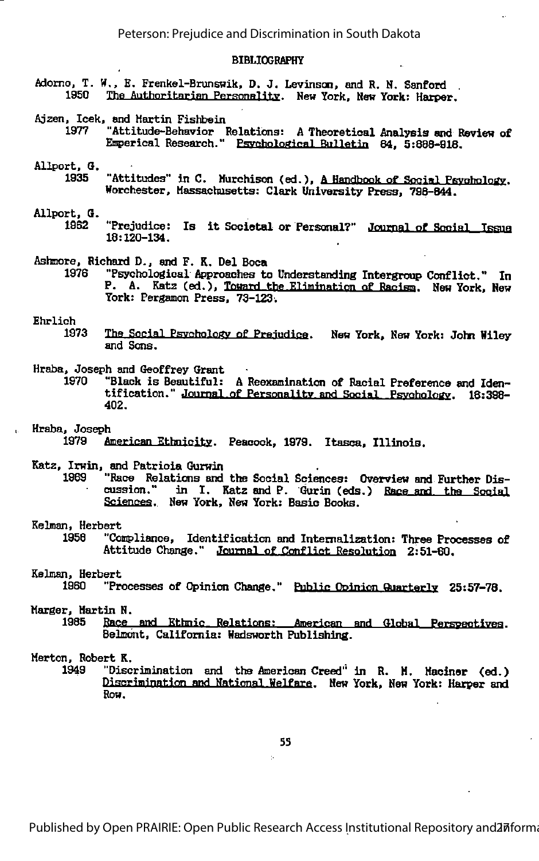#### BIBLIOGRAPHY

- Adomo, T. H., E. Frenkel-Brunswik, D. J. Levinsan, and R, N. Sanford The Authoritarian Personality. New York, New York: Harper.
- Ajzen, Icek, and Kartin Fishbein
	- 1977 "Attitude-Behavior Relations: A Theoretical Analysis and Review of Emperical Research." Psychological Bulletin 84, 5:888-918.
- Allport, 6.
	- 1935 "Attitudes" in C. Murchison (ed.), A Handbook of Social Psychology. Horchester, Massachusetts: Clark University Press, 798-844.

# Allport, G.

- "Prejudice: Is it Societal or Personal?" Journal of Social Issue 18:120-134.
- Ashmore, Richard D., and F. K. Del Boca
	- 1978 "Psychological Approaches to Understanding Intergroup Conflict." In P. A. Katz (ed.), Toward the Elimination of Racism. New York, New York: Perganon Press, 73-123.

## Ehrlich<br>1973

- The Social Psychology of Prejudice. New York, New York: John Wiley and Sons.
- Hraba, Joseph and Geoffrey Grant
	- "Black is Beautiful: A Reexamination of Racial Preference and Identification." Journal of Personality and Social Psychology. 18:398-402.

# Hraba, Joseph

American Ethnicity. Peacock, 1979. Itasca, Illinois.

#### Katz, Irwin, and Patricia Gurwin

1969 "Race Relations and the Social Sciences: Overview and Further Dis cussion." in I. Katz and P. Gurin (eds.) Race and the Social Scieneea. Hew York, Hew York: Basic Books.

# Relnan, Herbert

"Compliance, Identification and Internalization: Three Processes of Attitude Change." Journal of Conflict Resolution 2:51-80.

## Relman, Herbert

"Processes of Opinion Change." Public Opinion Quarterly 25:57-78.

# Harger, Martin N.

Race and Ethnic Relations: American and Global Perspectives. Belmont, California: Wadsworth Publishing.

## Herton, Robert R.

"Discrimination and the American Creed" in R. H. Haciner (ed.) Discrimination and Watinnal Welfare. Hew York, Hew York: Hatper and Row.